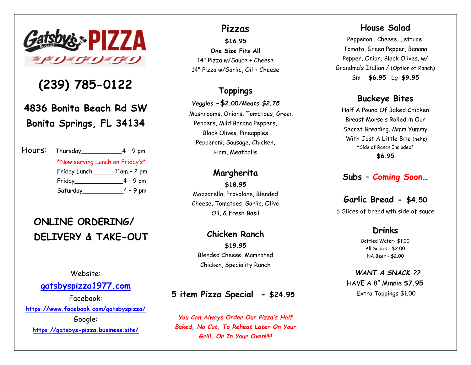

## **(239) 785-0122**

**4836 Bonita Beach Rd SW Bonita Springs, FL 34134**

| Hours: | Thursday____                    | $4 - 9$ pm   |
|--------|---------------------------------|--------------|
|        | *Now serving Lunch on Friday's* |              |
|        | Friday Lunch                    | _11am - 2 pm |
|        | Friday                          | $-4 - 9$ pm  |
|        | Saturday_                       | $-4 - 9$ pm  |

## **ONLINE ORDERING/ DELIVERY & TAKE-OUT**

Website:

### **[gatsbyspizza1977.com](about:blank)**

Facebook: **[https://www.facebook.com/gatsbyspizza/](about:blank)** Google: **[https://gatsbys-pizza.business.site/](about:blank)**

#### **Pizzas**

**\$16.95 One Size Fits All** 14" Pizza w/Sauce + Cheese 14" Pizza w/Garlic, Oil + Cheese

### **Toppings**

#### *Veggies* **-\$2.00***/Meats \$2.75*

 Mushrooms, Onions, Tomatoes, Green Peppers, Mild Banana Peppers, Black Olives, Pineapples Pepperoni, Sausage, Chicken, Ham, Meatballs

#### **Margherita**

**\$18.95** Mozzarella, Provolone, Blended Cheese, Tomatoes, Garlic, Olive Oil, & Fresh Basil

#### **Chicken Ranch \$19.95**

Blended Cheese, Marinated Chicken, Speciality Ranch

## **5 item Pizza Special - \$24.95**

*You Can Always Order Our Pizza's Half Baked, No Cut, To Reheat Later On Your Grill, Or In Your Oven!!!!!*

### **House Salad**

Pepperoni, Cheese, Lettuce, Tomato, Green Pepper, Banana Pepper, Onion, Black Olives, w/ Grandma's Italian / (Option of Ranch) Sm - **\$6.95** Lg**-\$9.95**

## **Buckeye Bites**

Half A Pound Of Baked Chicken Breast Morsels Rolled in Our Secret Breading. Mmm Yummy With Just A Little Bite (hehe) \*Side of Ranch Included\* **\$6.95**

## **Subs – Coming Soon…**

## **Garlic Bread - \$4.50**

6 Slices of bread wth side of sauce

## **Drinks**

 Bottled Water- \$1.00 All Soda's - \$2.00 NA Beer - \$2.00

 *WANT A SNACK ??* HAVE A 8" Minnie **\$7.95** Extra Toppings \$1.00